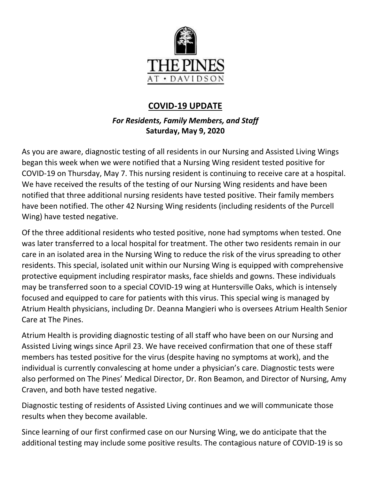

## **COVID-19 UPDATE**

## *For Residents, Family Members, and Staff* **Saturday, May 9, 2020**

As you are aware, diagnostic testing of all residents in our Nursing and Assisted Living Wings began this week when we were notified that a Nursing Wing resident tested positive for COVID-19 on Thursday, May 7. This nursing resident is continuing to receive care at a hospital. We have received the results of the testing of our Nursing Wing residents and have been notified that three additional nursing residents have tested positive. Their family members have been notified. The other 42 Nursing Wing residents (including residents of the Purcell Wing) have tested negative.

Of the three additional residents who tested positive, none had symptoms when tested. One was later transferred to a local hospital for treatment. The other two residents remain in our care in an isolated area in the Nursing Wing to reduce the risk of the virus spreading to other residents. This special, isolated unit within our Nursing Wing is equipped with comprehensive protective equipment including respirator masks, face shields and gowns. These individuals may be transferred soon to a special COVID-19 wing at Huntersville Oaks, which is intensely focused and equipped to care for patients with this virus. This special wing is managed by Atrium Health physicians, including Dr. Deanna Mangieri who is oversees Atrium Health Senior Care at The Pines.

Atrium Health is providing diagnostic testing of all staff who have been on our Nursing and Assisted Living wings since April 23. We have received confirmation that one of these staff members has tested positive for the virus (despite having no symptoms at work), and the individual is currently convalescing at home under a physician's care. Diagnostic tests were also performed on The Pines' Medical Director, Dr. Ron Beamon, and Director of Nursing, Amy Craven, and both have tested negative.

Diagnostic testing of residents of Assisted Living continues and we will communicate those results when they become available.

Since learning of our first confirmed case on our Nursing Wing, we do anticipate that the additional testing may include some positive results. The contagious nature of COVID-19 is so